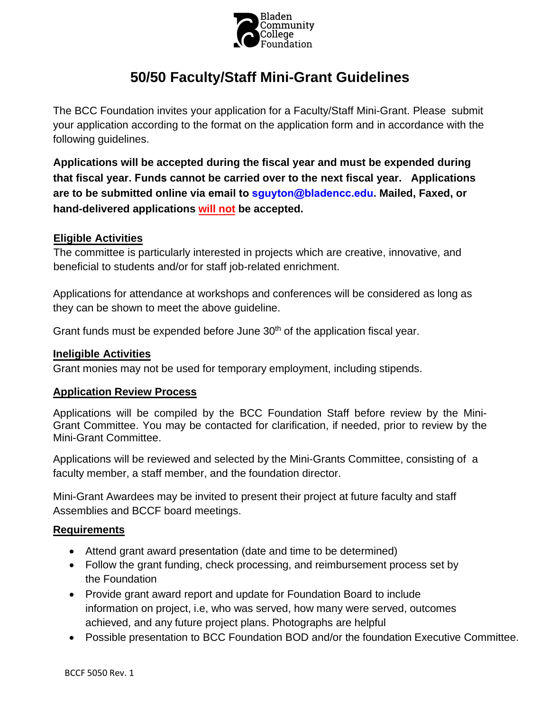

# **50/50 Faculty/Staff Mini-Grant Guidelines**

The BCC Foundation invites your application for a Faculty/Staff Mini-Grant. Please submit your application according to the format on the application form and in accordance with the following guidelines.

**Applications will be accepted during the fiscal year and must be expended during that fiscal year. Funds cannot be carried over to the next fiscal year. Applications are to be submitted online via email to sguyton@bladencc.edu. Mailed, Faxed, or hand-delivered applications will not be accepted.** 

#### **Eligible Activities**

The committee is particularly interested in projects which are creative, innovative, and beneficial to students and/or for staff job-related enrichment.

Applications for attendance at workshops and conferences will be considered as long as they can be shown to meet the above guideline.

Grant funds must be expended before June  $30<sup>th</sup>$  of the application fiscal year.

#### **Ineligible Activities**

Grant monies may not be used for temporary employment, including stipends.

#### **Application Review Process**

Applications will be compiled by the BCC Foundation Staff before review by the Mini-Grant Committee. You may be contacted for clarification, if needed, prior to review by the Mini-Grant Committee.

Applications will be reviewed and selected by the Mini-Grants Committee, consisting of a faculty member, a staff member, and the foundation director.

Mini-Grant Awardees may be invited to present their project at future faculty and staff Assemblies and BCCF board meetings.

## **Requirements**

- Attend grant award presentation (date and time to be determined)
- Follow the grant funding, check processing, and reimbursement process set by the Foundation
- Provide grant award report and update for Foundation Board to include information on project, i.e, who was served, how many were served, outcomes achieved, and any future project plans. Photographs are helpful
- Possible presentation to BCC Foundation BOD and/or the foundation Executive Committee.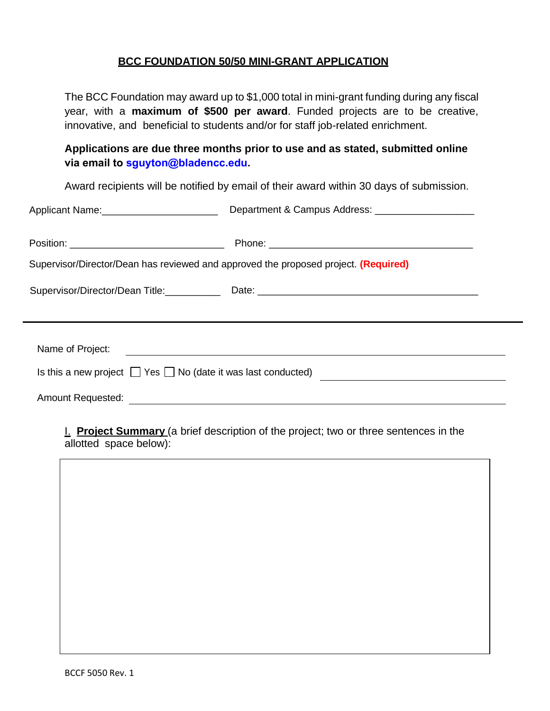#### **BCC FOUNDATION 50/50 MINI-GRANT APPLICATION**

The BCC Foundation may award up to \$1,000 total in mini-grant funding during any fiscal year, with a **maximum of \$500 per award**. Funded projects are to be creative, innovative, and beneficial to students and/or for staff job-related enrichment.

**Applications are due three months prior to use and as stated, submitted online via email to sguyton@bladencc.edu.** 

Award recipients will be notified by email of their award within 30 days of submission.

| Applicant Name: 1997                                                                |                                                                                                       |
|-------------------------------------------------------------------------------------|-------------------------------------------------------------------------------------------------------|
| Position: __________________________________                                        |                                                                                                       |
| Supervisor/Director/Dean has reviewed and approved the proposed project. (Required) |                                                                                                       |
|                                                                                     | Supervisor/Director/Dean Title: Date: Date: 2000 Date: 2000 Date: 2000 Date: 2000 Date: 2000 Director |
|                                                                                     |                                                                                                       |
|                                                                                     |                                                                                                       |
|                                                                                     | Is this a new project $\Box$ Yes $\Box$ No (date it was last conducted)                               |
| <b>Amount Requested:</b>                                                            |                                                                                                       |

I. **Project Summary** (a brief description of the project; two or three sentences in the allotted space below):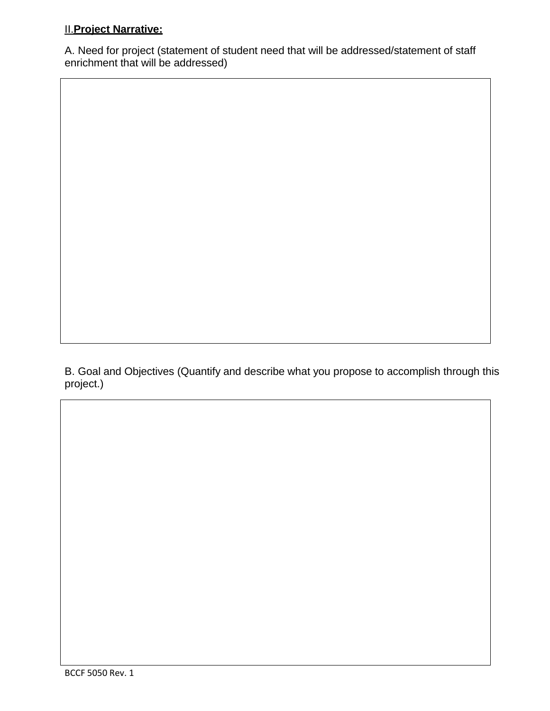# II.**Project Narrative:**

A. Need for project (statement of student need that will be addressed/statement of staff enrichment that will be addressed)

B. Goal and Objectives (Quantify and describe what you propose to accomplish through this project.)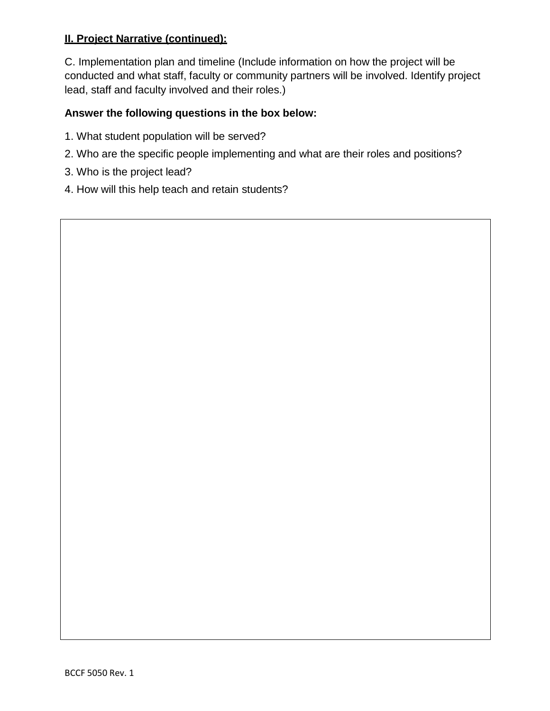## **II. Project Narrative (continued):**

C. Implementation plan and timeline (Include information on how the project will be conducted and what staff, faculty or community partners will be involved. Identify project lead, staff and faculty involved and their roles.)

# **Answer the following questions in the box below:**

- 1. What student population will be served?
- 2. Who are the specific people implementing and what are their roles and positions?
- 3. Who is the project lead?
- 4. How will this help teach and retain students?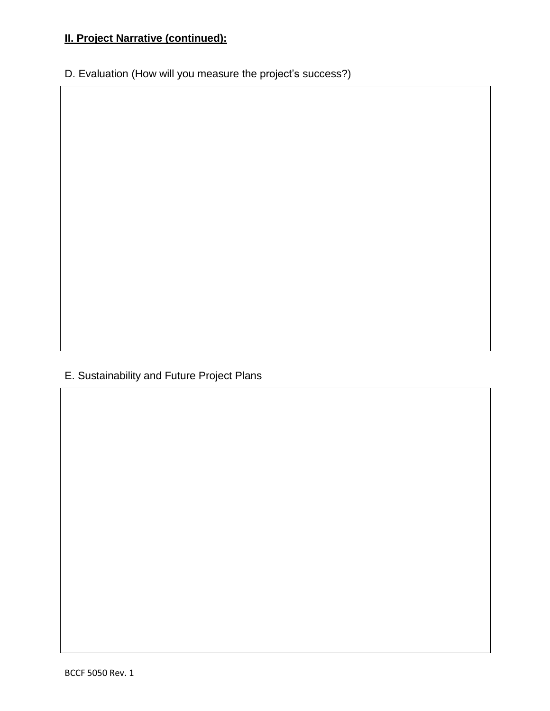# **II. Project Narrative (continued):**

D. Evaluation (How will you measure the project's success?)

# E. Sustainability and Future Project Plans